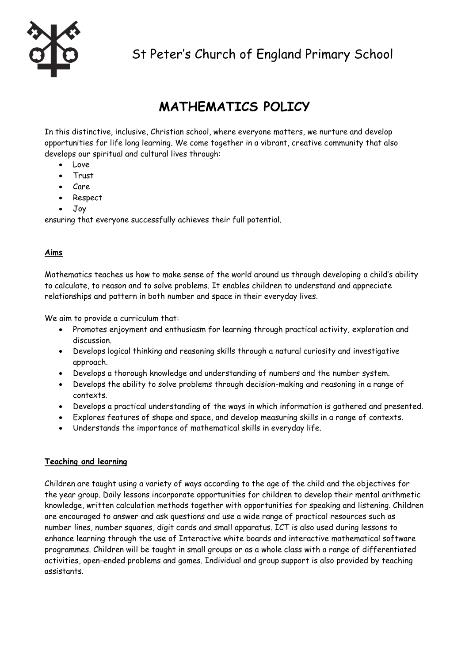

# **MATHEMATICS POLICY**

In this distinctive, inclusive, Christian school, where everyone matters, we nurture and develop opportunities for life long learning. We come together in a vibrant, creative community that also develops our spiritual and cultural lives through:

- Love
- Trust
- $\bullet$  Care
- Respect
- Joy

ensuring that everyone successfully achieves their full potential.

# **Aims**

Mathematics teaches us how to make sense of the world around us through developing a child's ability to calculate, to reason and to solve problems. It enables children to understand and appreciate relationships and pattern in both number and space in their everyday lives.

We aim to provide a curriculum that:

- Promotes enjoyment and enthusiasm for learning through practical activity, exploration and discussion.
- Develops logical thinking and reasoning skills through a natural curiosity and investigative approach.
- Develops a thorough knowledge and understanding of numbers and the number system.
- Develops the ability to solve problems through decision-making and reasoning in a range of contexts.
- Develops a practical understanding of the ways in which information is gathered and presented.
- Explores features of shape and space, and develop measuring skills in a range of contexts.
- Understands the importance of mathematical skills in everyday life.

# **Teaching and learning**

Children are taught using a variety of ways according to the age of the child and the objectives for the year group. Daily lessons incorporate opportunities for children to develop their mental arithmetic knowledge, written calculation methods together with opportunities for speaking and listening. Children are encouraged to answer and ask questions and use a wide range of practical resources such as number lines, number squares, digit cards and small apparatus. ICT is also used during lessons to enhance learning through the use of Interactive white boards and interactive mathematical software programmes. Children will be taught in small groups or as a whole class with a range of differentiated activities, open-ended problems and games. Individual and group support is also provided by teaching assistants.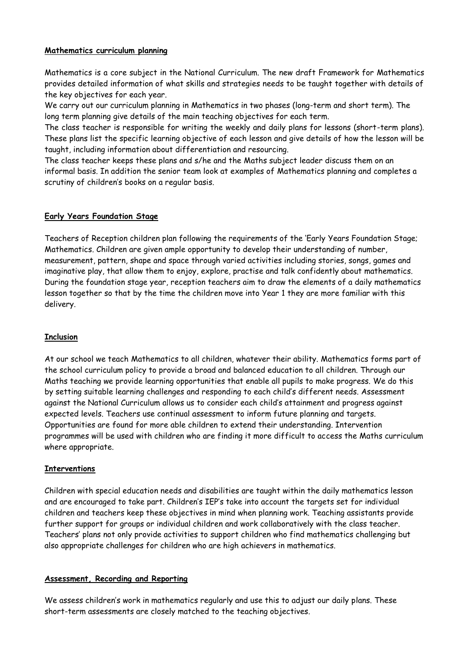## **Mathematics curriculum planning**

Mathematics is a core subject in the National Curriculum. The new draft Framework for Mathematics provides detailed information of what skills and strategies needs to be taught together with details of the key objectives for each year.

We carry out our curriculum planning in Mathematics in two phases (long-term and short term). The long term planning give details of the main teaching objectives for each term.

The class teacher is responsible for writing the weekly and daily plans for lessons (short-term plans). These plans list the specific learning objective of each lesson and give details of how the lesson will be taught, including information about differentiation and resourcing.

The class teacher keeps these plans and s/he and the Maths subject leader discuss them on an informal basis. In addition the senior team look at examples of Mathematics planning and completes a scrutiny of children's books on a regular basis.

## **Early Years Foundation Stage**

Teachers of Reception children plan following the requirements of the 'Early Years Foundation Stage; Mathematics. Children are given ample opportunity to develop their understanding of number, measurement, pattern, shape and space through varied activities including stories, songs, games and imaginative play, that allow them to enjoy, explore, practise and talk confidently about mathematics. During the foundation stage year, reception teachers aim to draw the elements of a daily mathematics lesson together so that by the time the children move into Year 1 they are more familiar with this delivery.

# **Inclusion**

At our school we teach Mathematics to all children, whatever their ability. Mathematics forms part of the school curriculum policy to provide a broad and balanced education to all children. Through our Maths teaching we provide learning opportunities that enable all pupils to make progress. We do this by setting suitable learning challenges and responding to each child's different needs. Assessment against the National Curriculum allows us to consider each child's attainment and progress against expected levels. Teachers use continual assessment to inform future planning and targets. Opportunities are found for more able children to extend their understanding. Intervention programmes will be used with children who are finding it more difficult to access the Maths curriculum where appropriate.

# **Interventions**

Children with special education needs and disabilities are taught within the daily mathematics lesson and are encouraged to take part. Children's IEP's take into account the targets set for individual children and teachers keep these objectives in mind when planning work. Teaching assistants provide further support for groups or individual children and work collaboratively with the class teacher. Teachers' plans not only provide activities to support children who find mathematics challenging but also appropriate challenges for children who are high achievers in mathematics.

# **Assessment, Recording and Reporting**

We assess children's work in mathematics regularly and use this to adjust our daily plans. These short-term assessments are closely matched to the teaching objectives.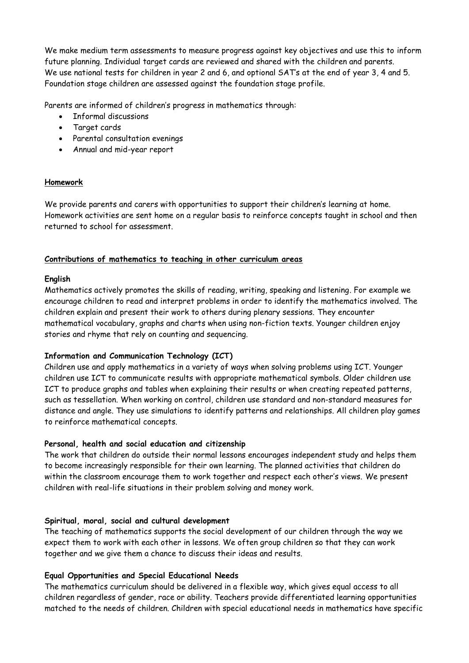We make medium term assessments to measure progress against key objectives and use this to inform future planning. Individual target cards are reviewed and shared with the children and parents. We use national tests for children in year 2 and 6, and optional SAT's at the end of year 3, 4 and 5. Foundation stage children are assessed against the foundation stage profile.

Parents are informed of children's progress in mathematics through:

- Informal discussions
- Target cards
- Parental consultation evenings
- Annual and mid-year report

#### **Homework**

We provide parents and carers with opportunities to support their children's learning at home. Homework activities are sent home on a regular basis to reinforce concepts taught in school and then returned to school for assessment.

#### **Contributions of mathematics to teaching in other curriculum areas**

## **English**

Mathematics actively promotes the skills of reading, writing, speaking and listening. For example we encourage children to read and interpret problems in order to identify the mathematics involved. The children explain and present their work to others during plenary sessions. They encounter mathematical vocabulary, graphs and charts when using non-fiction texts. Younger children enjoy stories and rhyme that rely on counting and sequencing.

#### **Information and Communication Technology (ICT)**

Children use and apply mathematics in a variety of ways when solving problems using ICT. Younger children use ICT to communicate results with appropriate mathematical symbols. Older children use ICT to produce graphs and tables when explaining their results or when creating repeated patterns, such as tessellation. When working on control, children use standard and non-standard measures for distance and angle. They use simulations to identify patterns and relationships. All children play games to reinforce mathematical concepts.

#### **Personal, health and social education and citizenship**

The work that children do outside their normal lessons encourages independent study and helps them to become increasingly responsible for their own learning. The planned activities that children do within the classroom encourage them to work together and respect each other's views. We present children with real-life situations in their problem solving and money work.

#### **Spiritual, moral, social and cultural development**

The teaching of mathematics supports the social development of our children through the way we expect them to work with each other in lessons. We often group children so that they can work together and we give them a chance to discuss their ideas and results.

# **Equal Opportunities and Special Educational Needs**

The mathematics curriculum should be delivered in a flexible way, which gives equal access to all children regardless of gender, race or ability. Teachers provide differentiated learning opportunities matched to the needs of children. Children with special educational needs in mathematics have specific